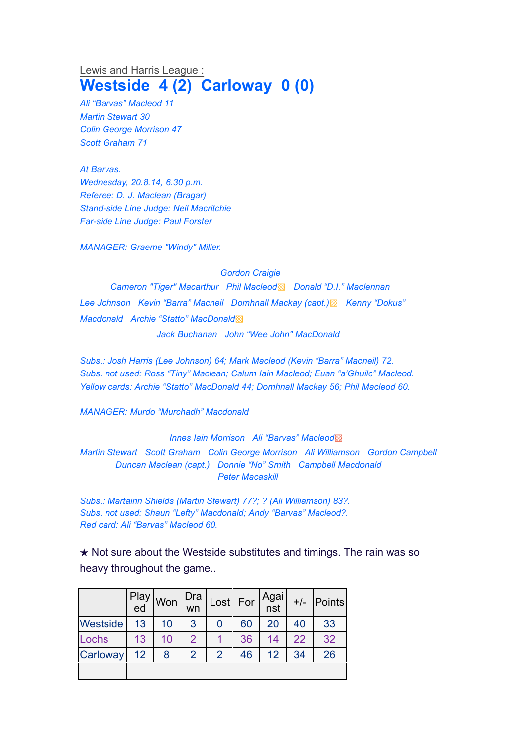## Lewis and Harris League : **Westside 4 (2) Carloway 0 (0)**

*Ali "Barvas" Macleod 11 Martin Stewart 30 Colin George Morrison 47 Scott Graham 71*

*At Barvas. Wednesday, 20.8.14, 6.30 p.m. Referee: D. J. Maclean (Bragar) Stand-side Line Judge: Neil Macritchie Far-side Line Judge: Paul Forster*

*MANAGER: Graeme "Windy" Miller.*

*Gordon Craigie*

*Cameron "Tiger" Macarthur Phil Macleod*▩ *Donald "D.I." Maclennan Lee Johnson Kevin "Barra" Macneil Domhnall Mackay (capt.)*▩ *Kenny "Dokus" Macdonald Archie "Statto" MacDonald*▩ *Jack Buchanan John "Wee John" MacDonald*

*Subs.: Josh Harris (Lee Johnson) 64; Mark Macleod (Kevin "Barra" Macneil) 72.*

*Subs. not used: Ross "Tiny" Maclean; Calum Iain Macleod; Euan "a'Ghuilc" Macleod. Yellow cards: Archie "Statto" MacDonald 44; Domhnall Mackay 56; Phil Macleod 60.*

*MANAGER: Murdo "Murchadh" Macdonald*

*Innes Iain Morrison Ali "Barvas" Macleod*▩

*Martin Stewart Scott Graham Colin George Morrison Ali Williamson Gordon Campbell Duncan Maclean (capt.) Donnie "No" Smith Campbell Macdonald Peter Macaskill*

*Subs.: Martainn Shields (Martin Stewart) 77?; ? (Ali Williamson) 83?. Subs. not used: Shaun "Lefty" Macdonald; Andy "Barvas" Macleod?. Red card: Ali "Barvas" Macleod 60.*

 $\star$  Not sure about the Westside substitutes and timings. The rain was so heavy throughout the game..

|                 | Play<br>ed | Won | Dra<br>wn      |               | $\textsf{Last}$ For | Agai<br>nst | $+/-$ | <b>Points</b> |
|-----------------|------------|-----|----------------|---------------|---------------------|-------------|-------|---------------|
| <b>Westside</b> | 13         | 10  | 3              |               | 60                  | 20          | 40    | 33            |
| Lochs           | 13         | 10  | $\overline{2}$ |               | 36                  | 14          | 22    | 32            |
| Carloway        | 12         | 8   | 2              | $\mathcal{P}$ | 46                  | 12          | 34    | 26            |
|                 |            |     |                |               |                     |             |       |               |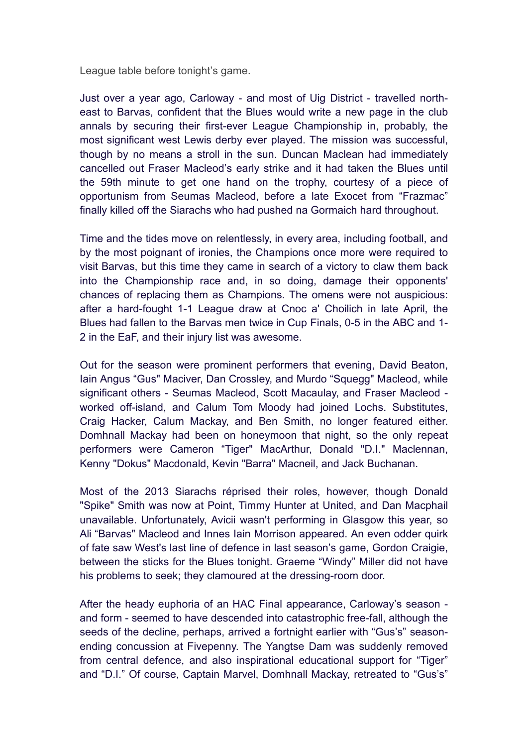League table before tonight's game.

Just over a year ago, Carloway - and most of Uig District - travelled northeast to Barvas, confident that the Blues would write a new page in the club annals by securing their first-ever League Championship in, probably, the most significant west Lewis derby ever played. The mission was successful, though by no means a stroll in the sun. Duncan Maclean had immediately cancelled out Fraser Macleod's early strike and it had taken the Blues until the 59th minute to get one hand on the trophy, courtesy of a piece of opportunism from Seumas Macleod, before a late Exocet from "Frazmac" finally killed off the Siarachs who had pushed na Gormaich hard throughout.

Time and the tides move on relentlessly, in every area, including football, and by the most poignant of ironies, the Champions once more were required to visit Barvas, but this time they came in search of a victory to claw them back into the Championship race and, in so doing, damage their opponents' chances of replacing them as Champions. The omens were not auspicious: after a hard-fought 1-1 League draw at Cnoc a' Choilich in late April, the Blues had fallen to the Barvas men twice in Cup Finals, 0-5 in the ABC and 1- 2 in the EaF, and their injury list was awesome.

Out for the season were prominent performers that evening, David Beaton, Iain Angus "Gus" Maciver, Dan Crossley, and Murdo "Squegg" Macleod, while significant others - Seumas Macleod, Scott Macaulay, and Fraser Macleod worked off-island, and Calum Tom Moody had joined Lochs. Substitutes, Craig Hacker, Calum Mackay, and Ben Smith, no longer featured either. Domhnall Mackay had been on honeymoon that night, so the only repeat performers were Cameron "Tiger" MacArthur, Donald "D.I." Maclennan, Kenny "Dokus" Macdonald, Kevin "Barra" Macneil, and Jack Buchanan.

Most of the 2013 Siarachs réprised their roles, however, though Donald "Spike" Smith was now at Point, Timmy Hunter at United, and Dan Macphail unavailable. Unfortunately, Avicii wasn't performing in Glasgow this year, so Ali "Barvas" Macleod and Innes Iain Morrison appeared. An even odder quirk of fate saw West's last line of defence in last season's game, Gordon Craigie, between the sticks for the Blues tonight. Graeme "Windy" Miller did not have his problems to seek; they clamoured at the dressing-room door.

After the heady euphoria of an HAC Final appearance, Carloway's season and form - seemed to have descended into catastrophic free-fall, although the seeds of the decline, perhaps, arrived a fortnight earlier with "Gus's" seasonending concussion at Fivepenny. The Yangtse Dam was suddenly removed from central defence, and also inspirational educational support for "Tiger" and "D.I." Of course, Captain Marvel, Domhnall Mackay, retreated to "Gus's"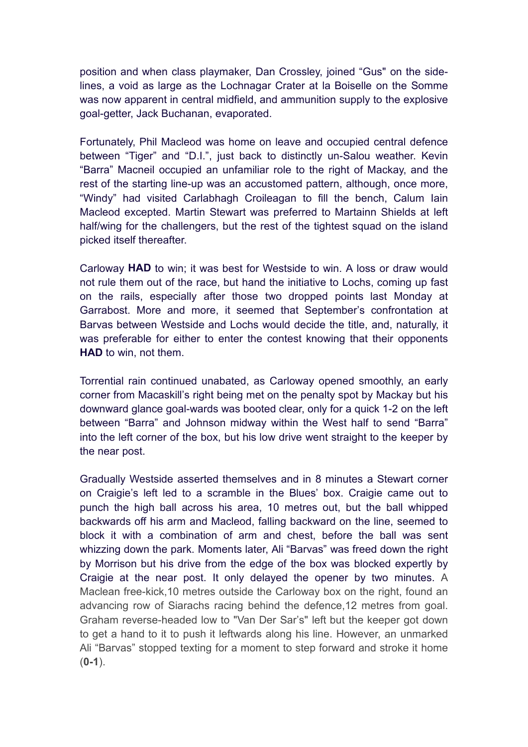position and when class playmaker, Dan Crossley, joined "Gus" on the sidelines, a void as large as the Lochnagar Crater at la Boiselle on the Somme was now apparent in central midfield, and ammunition supply to the explosive goal-getter, Jack Buchanan, evaporated.

Fortunately, Phil Macleod was home on leave and occupied central defence between "Tiger" and "D.I.", just back to distinctly un-Salou weather. Kevin "Barra" Macneil occupied an unfamiliar role to the right of Mackay, and the rest of the starting line-up was an accustomed pattern, although, once more, "Windy" had visited Carlabhagh Croileagan to fill the bench, Calum Iain Macleod excepted. Martin Stewart was preferred to Martainn Shields at left half/wing for the challengers, but the rest of the tightest squad on the island picked itself thereafter.

Carloway **HAD** to win; it was best for Westside to win. A loss or draw would not rule them out of the race, but hand the initiative to Lochs, coming up fast on the rails, especially after those two dropped points last Monday at Garrabost. More and more, it seemed that September's confrontation at Barvas between Westside and Lochs would decide the title, and, naturally, it was preferable for either to enter the contest knowing that their opponents **HAD** to win, not them.

Torrential rain continued unabated, as Carloway opened smoothly, an early corner from Macaskill's right being met on the penalty spot by Mackay but his downward glance goal-wards was booted clear, only for a quick 1-2 on the left between "Barra" and Johnson midway within the West half to send "Barra" into the left corner of the box, but his low drive went straight to the keeper by the near post.

Gradually Westside asserted themselves and in 8 minutes a Stewart corner on Craigie's left led to a scramble in the Blues' box. Craigie came out to punch the high ball across his area, 10 metres out, but the ball whipped backwards off his arm and Macleod, falling backward on the line, seemed to block it with a combination of arm and chest, before the ball was sent whizzing down the park. Moments later, Ali "Barvas" was freed down the right by Morrison but his drive from the edge of the box was blocked expertly by Craigie at the near post. It only delayed the opener by two minutes. A Maclean free-kick,10 metres outside the Carloway box on the right, found an advancing row of Siarachs racing behind the defence,12 metres from goal. Graham reverse-headed low to "Van Der Sar's" left but the keeper got down to get a hand to it to push it leftwards along his line. However, an unmarked Ali "Barvas" stopped texting for a moment to step forward and stroke it home (**0-1**).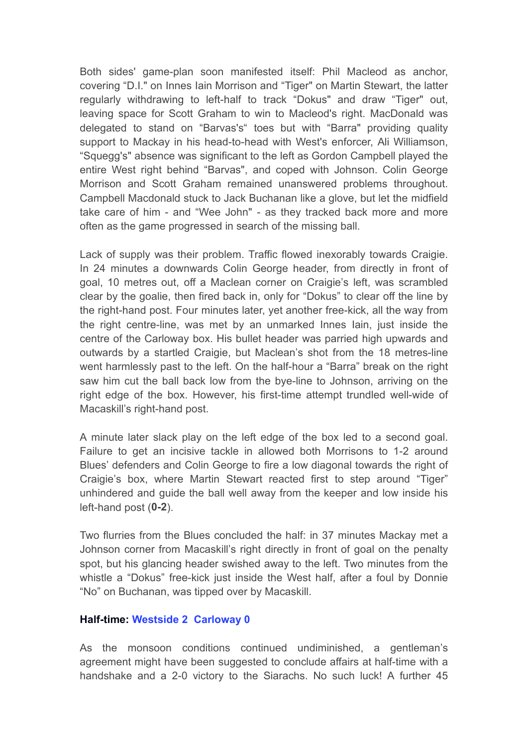Both sides' game-plan soon manifested itself: Phil Macleod as anchor, covering "D.I." on Innes Iain Morrison and "Tiger" on Martin Stewart, the latter regularly withdrawing to left-half to track "Dokus" and draw "Tiger" out, leaving space for Scott Graham to win to Macleod's right. MacDonald was delegated to stand on "Barvas's" toes but with "Barra" providing quality support to Mackay in his head-to-head with West's enforcer, Ali Williamson, "Squegg's" absence was significant to the left as Gordon Campbell played the entire West right behind "Barvas", and coped with Johnson. Colin George Morrison and Scott Graham remained unanswered problems throughout. Campbell Macdonald stuck to Jack Buchanan like a glove, but let the midfield take care of him - and "Wee John" - as they tracked back more and more often as the game progressed in search of the missing ball.

Lack of supply was their problem. Traffic flowed inexorably towards Craigie. In 24 minutes a downwards Colin George header, from directly in front of goal, 10 metres out, off a Maclean corner on Craigie's left, was scrambled clear by the goalie, then fired back in, only for "Dokus" to clear off the line by the right-hand post. Four minutes later, yet another free-kick, all the way from the right centre-line, was met by an unmarked Innes Iain, just inside the centre of the Carloway box. His bullet header was parried high upwards and outwards by a startled Craigie, but Maclean's shot from the 18 metres-line went harmlessly past to the left. On the half-hour a "Barra" break on the right saw him cut the ball back low from the bye-line to Johnson, arriving on the right edge of the box. However, his first-time attempt trundled well-wide of Macaskill's right-hand post.

A minute later slack play on the left edge of the box led to a second goal. Failure to get an incisive tackle in allowed both Morrisons to 1-2 around Blues' defenders and Colin George to fire a low diagonal towards the right of Craigie's box, where Martin Stewart reacted first to step around "Tiger" unhindered and guide the ball well away from the keeper and low inside his left-hand post (**0-2**).

Two flurries from the Blues concluded the half: in 37 minutes Mackay met a Johnson corner from Macaskill's right directly in front of goal on the penalty spot, but his glancing header swished away to the left. Two minutes from the whistle a "Dokus" free-kick just inside the West half, after a foul by Donnie "No" on Buchanan, was tipped over by Macaskill.

## **Half-time: Westside 2 Carloway 0**

As the monsoon conditions continued undiminished, a gentleman's agreement might have been suggested to conclude affairs at half-time with a handshake and a 2-0 victory to the Siarachs. No such luck! A further 45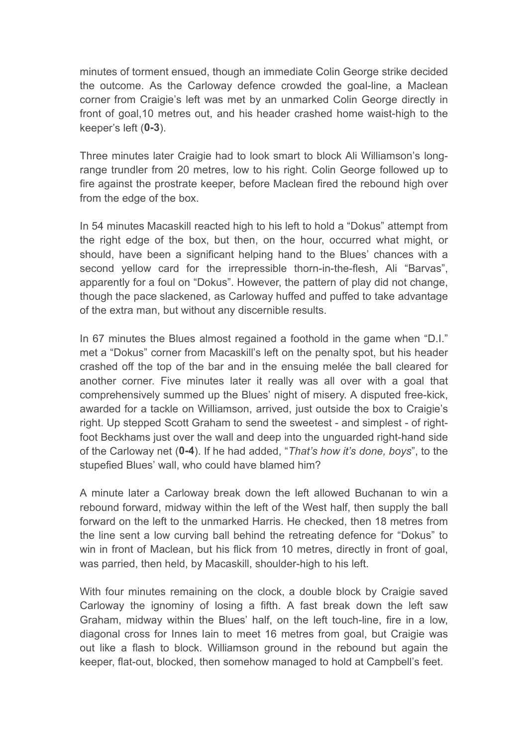minutes of torment ensued, though an immediate Colin George strike decided the outcome. As the Carloway defence crowded the goal-line, a Maclean corner from Craigie's left was met by an unmarked Colin George directly in front of goal,10 metres out, and his header crashed home waist-high to the keeper's left (**0-3**).

Three minutes later Craigie had to look smart to block Ali Williamson's longrange trundler from 20 metres, low to his right. Colin George followed up to fire against the prostrate keeper, before Maclean fired the rebound high over from the edge of the box.

In 54 minutes Macaskill reacted high to his left to hold a "Dokus" attempt from the right edge of the box, but then, on the hour, occurred what might, or should, have been a significant helping hand to the Blues' chances with a second yellow card for the irrepressible thorn-in-the-flesh, Ali "Barvas", apparently for a foul on "Dokus". However, the pattern of play did not change, though the pace slackened, as Carloway huffed and puffed to take advantage of the extra man, but without any discernible results.

In 67 minutes the Blues almost regained a foothold in the game when "D.I." met a "Dokus" corner from Macaskill's left on the penalty spot, but his header crashed off the top of the bar and in the ensuing melée the ball cleared for another corner. Five minutes later it really was all over with a goal that comprehensively summed up the Blues' night of misery. A disputed free-kick, awarded for a tackle on Williamson, arrived, just outside the box to Craigie's right. Up stepped Scott Graham to send the sweetest - and simplest - of rightfoot Beckhams just over the wall and deep into the unguarded right-hand side of the Carloway net (**0-4**). If he had added, "*That's how it's done, boys*", to the stupefied Blues' wall, who could have blamed him?

A minute later a Carloway break down the left allowed Buchanan to win a rebound forward, midway within the left of the West half, then supply the ball forward on the left to the unmarked Harris. He checked, then 18 metres from the line sent a low curving ball behind the retreating defence for "Dokus" to win in front of Maclean, but his flick from 10 metres, directly in front of goal, was parried, then held, by Macaskill, shoulder-high to his left.

With four minutes remaining on the clock, a double block by Craigie saved Carloway the ignominy of losing a fifth. A fast break down the left saw Graham, midway within the Blues' half, on the left touch-line, fire in a low, diagonal cross for Innes Iain to meet 16 metres from goal, but Craigie was out like a flash to block. Williamson ground in the rebound but again the keeper, flat-out, blocked, then somehow managed to hold at Campbell's feet.